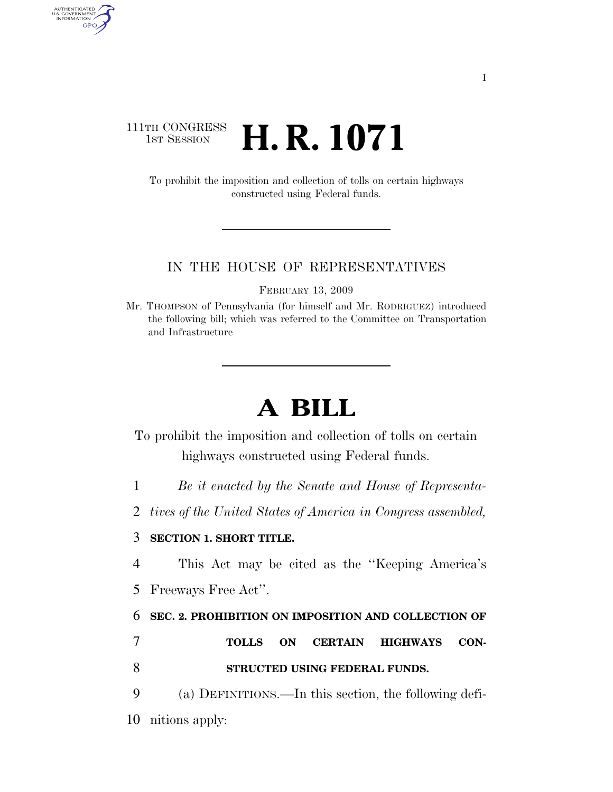## 111TH CONGRESS **1st Session H. R. 1071**

AUTHENTICATED<br>U.S. GOVERNMENT<br>INFORMATION GPO

> To prohibit the imposition and collection of tolls on certain highways constructed using Federal funds.

#### IN THE HOUSE OF REPRESENTATIVES

FEBRUARY 13, 2009

Mr. THOMPSON of Pennsylvania (for himself and Mr. RODRIGUEZ) introduced the following bill; which was referred to the Committee on Transportation and Infrastructure

# **A BILL**

To prohibit the imposition and collection of tolls on certain highways constructed using Federal funds.

1 *Be it enacted by the Senate and House of Representa-*

2 *tives of the United States of America in Congress assembled,* 

### 3 **SECTION 1. SHORT TITLE.**

4 This Act may be cited as the ''Keeping America's 5 Freeways Free Act''.

### 6 **SEC. 2. PROHIBITION ON IMPOSITION AND COLLECTION OF**

7 **TOLLS ON CERTAIN HIGHWAYS CON-**8 **STRUCTED USING FEDERAL FUNDS.** 

9 (a) DEFINITIONS.—In this section, the following defi-

10 nitions apply: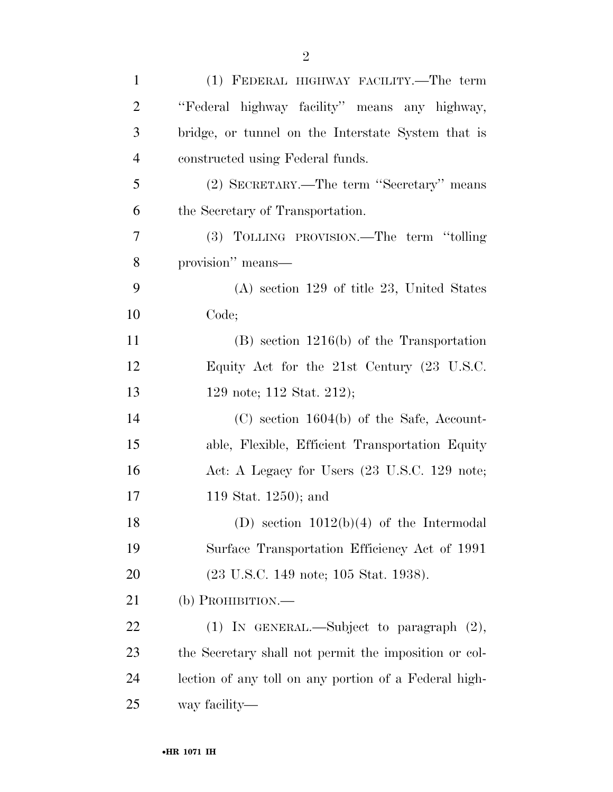| $\mathbf{1}$   | (1) FEDERAL HIGHWAY FACILITY.—The term                |
|----------------|-------------------------------------------------------|
| $\overline{2}$ | "Federal highway facility" means any highway,         |
| 3              | bridge, or tunnel on the Interstate System that is    |
| $\overline{4}$ | constructed using Federal funds.                      |
| 5              | (2) SECRETARY.—The term "Secretary" means             |
| 6              | the Secretary of Transportation.                      |
| 7              | (3) TOLLING PROVISION.—The term "tolling"             |
| 8              | provision" means—                                     |
| 9              | $(A)$ section 129 of title 23, United States          |
| 10             | Code;                                                 |
| 11             | $(B)$ section 1216(b) of the Transportation           |
| 12             | Equity Act for the 21st Century (23 U.S.C.            |
| 13             | 129 note; 112 Stat. 212);                             |
| 14             | $(C)$ section 1604(b) of the Safe, Account-           |
| 15             | able, Flexible, Efficient Transportation Equity       |
| 16             | Act: A Legacy for Users (23 U.S.C. 129 note;          |
| 17             | 119 Stat. 1250); and                                  |
| 18             | (D) section $1012(b)(4)$ of the Intermodal            |
| 19             | Surface Transportation Efficiency Act of 1991         |
| 20             | (23 U.S.C. 149 note; 105 Stat. 1938).                 |
| 21             | (b) PROHIBITION.—                                     |
| 22             | $(1)$ IN GENERAL.—Subject to paragraph $(2)$ ,        |
| 23             | the Secretary shall not permit the imposition or col- |
| 24             | lection of any toll on any portion of a Federal high- |
| 25             | way facility—                                         |